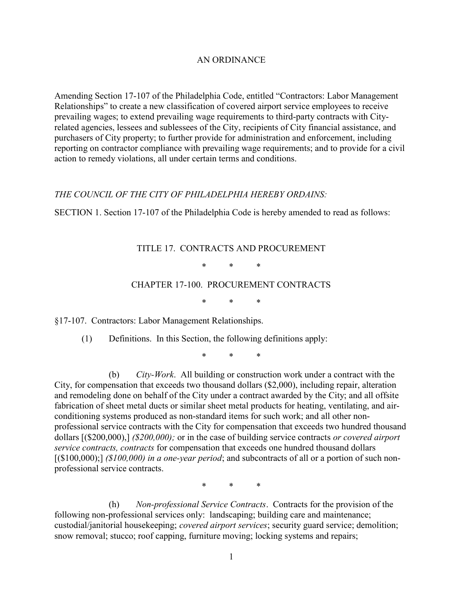## AN ORDINANCE

Amending Section 17-107 of the Philadelphia Code, entitled "Contractors: Labor Management Relationships" to create a new classification of covered airport service employees to receive prevailing wages; to extend prevailing wage requirements to third-party contracts with Cityrelated agencies, lessees and sublessees of the City, recipients of City financial assistance, and purchasers of City property; to further provide for administration and enforcement, including reporting on contractor compliance with prevailing wage requirements; and to provide for a civil action to remedy violations, all under certain terms and conditions.

## THE COUNCIL OF THE CITY OF PHILADELPHIA HEREBY ORDAINS:

SECTION 1. Section 17-107 of the Philadelphia Code is hereby amended to read as follows:

## TITLE 17. CONTRACTS AND PROCUREMENT

\* \* \*

## CHAPTER 17-100. PROCUREMENT CONTRACTS

\* \* \*

§17-107. Contractors: Labor Management Relationships.

(1) Definitions. In this Section, the following definitions apply:

\* \* \*

(b) City-Work. All building or construction work under a contract with the City, for compensation that exceeds two thousand dollars (\$2,000), including repair, alteration and remodeling done on behalf of the City under a contract awarded by the City; and all offsite fabrication of sheet metal ducts or similar sheet metal products for heating, ventilating, and airconditioning systems produced as non-standard items for such work; and all other nonprofessional service contracts with the City for compensation that exceeds two hundred thousand dollars [(\$200,000),] (\$200,000); or in the case of building service contracts or covered airport service contracts, contracts for compensation that exceeds one hundred thousand dollars  $[(\$100,000);]$  (\$100,000) in a one-year period; and subcontracts of all or a portion of such nonprofessional service contracts.

\* \* \*

(h) Non-professional Service Contracts. Contracts for the provision of the following non-professional services only: landscaping; building care and maintenance; custodial/janitorial housekeeping; covered airport services; security guard service; demolition; snow removal; stucco; roof capping, furniture moving; locking systems and repairs;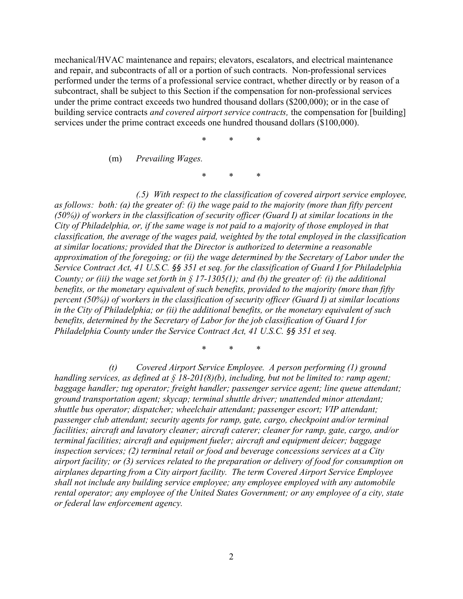mechanical/HVAC maintenance and repairs; elevators, escalators, and electrical maintenance and repair, and subcontracts of all or a portion of such contracts. Non-professional services performed under the terms of a professional service contract, whether directly or by reason of a subcontract, shall be subject to this Section if the compensation for non-professional services under the prime contract exceeds two hundred thousand dollars (\$200,000); or in the case of building service contracts *and covered airport service contracts*, the compensation for [building] services under the prime contract exceeds one hundred thousand dollars (\$100,000).

\* \* \*

(m) Prevailing Wages.

\* \* \*

(.5) With respect to the classification of covered airport service employee, as follows: both: (a) the greater of: (i) the wage paid to the majority (more than fifty percent (50%)) of workers in the classification of security officer (Guard I) at similar locations in the City of Philadelphia, or, if the same wage is not paid to a majority of those employed in that classification, the average of the wages paid, weighted by the total employed in the classification at similar locations; provided that the Director is authorized to determine a reasonable approximation of the foregoing; or (ii) the wage determined by the Secretary of Labor under the Service Contract Act, 41 U.S.C. §§ 351 et seq. for the classification of Guard I for Philadelphia County; or (iii) the wage set forth in § 17-1305(1); and (b) the greater of: (i) the additional benefits, or the monetary equivalent of such benefits, provided to the majority (more than fifty percent (50%)) of workers in the classification of security officer (Guard I) at similar locations in the City of Philadelphia; or (ii) the additional benefits, or the monetary equivalent of such benefits, determined by the Secretary of Labor for the job classification of Guard I for Philadelphia County under the Service Contract Act, 41 U.S.C. §§ 351 et seq.

\* \* \*

(t) Covered Airport Service Employee. A person performing (1) ground handling services, as defined at  $\S 18{\text -}201(8)(b)$ , including, but not be limited to: ramp agent; baggage handler; tug operator; freight handler; passenger service agent; line queue attendant; ground transportation agent; skycap; terminal shuttle driver; unattended minor attendant; shuttle bus operator; dispatcher; wheelchair attendant; passenger escort; VIP attendant; passenger club attendant; security agents for ramp, gate, cargo, checkpoint and/or terminal facilities; aircraft and lavatory cleaner; aircraft caterer; cleaner for ramp, gate, cargo, and/or terminal facilities; aircraft and equipment fueler; aircraft and equipment deicer; baggage inspection services; (2) terminal retail or food and beverage concessions services at a City airport facility; or (3) services related to the preparation or delivery of food for consumption on airplanes departing from a City airport facility. The term Covered Airport Service Employee shall not include any building service employee; any employee employed with any automobile rental operator; any employee of the United States Government; or any employee of a city, state or federal law enforcement agency.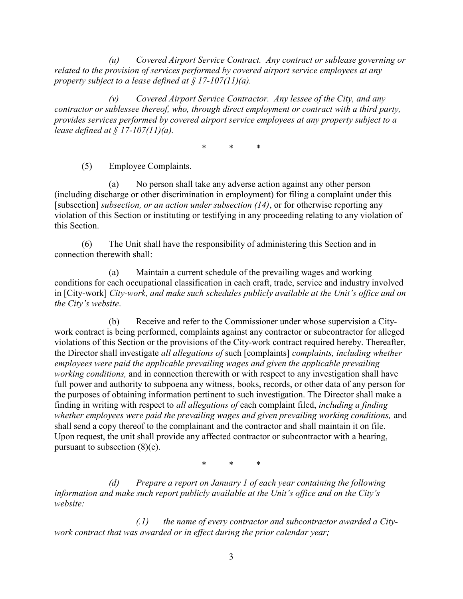(u) Covered Airport Service Contract. Any contract or sublease governing or related to the provision of services performed by covered airport service employees at any property subject to a lease defined at  $\S 17$ -107(11)(a).

(v) Covered Airport Service Contractor. Any lessee of the City, and any contractor or sublessee thereof, who, through direct employment or contract with a third party, provides services performed by covered airport service employees at any property subject to a lease defined at  $\frac{1}{2}$  17-107(11)(a).

\* \* \*

(5) Employee Complaints.

(a) No person shall take any adverse action against any other person (including discharge or other discrimination in employment) for filing a complaint under this [subsection] subsection, or an action under subsection  $(14)$ , or for otherwise reporting any violation of this Section or instituting or testifying in any proceeding relating to any violation of this Section.

(6) The Unit shall have the responsibility of administering this Section and in connection therewith shall:

(a) Maintain a current schedule of the prevailing wages and working conditions for each occupational classification in each craft, trade, service and industry involved in [City-work] City-work, and make such schedules publicly available at the Unit's office and on the City's website.

(b) Receive and refer to the Commissioner under whose supervision a Citywork contract is being performed, complaints against any contractor or subcontractor for alleged violations of this Section or the provisions of the City-work contract required hereby. Thereafter, the Director shall investigate all allegations of such [complaints] complaints, including whether employees were paid the applicable prevailing wages and given the applicable prevailing working conditions, and in connection therewith or with respect to any investigation shall have full power and authority to subpoena any witness, books, records, or other data of any person for the purposes of obtaining information pertinent to such investigation. The Director shall make a finding in writing with respect to all allegations of each complaint filed, including a finding whether employees were paid the prevailing wages and given prevailing working conditions, and shall send a copy thereof to the complainant and the contractor and shall maintain it on file. Upon request, the unit shall provide any affected contractor or subcontractor with a hearing, pursuant to subsection (8)(e).

\* \* \*

(d) Prepare a report on January  $1$  of each year containing the following information and make such report publicly available at the Unit's office and on the City's website:

 $(1)$  the name of every contractor and subcontractor awarded a Citywork contract that was awarded or in effect during the prior calendar year;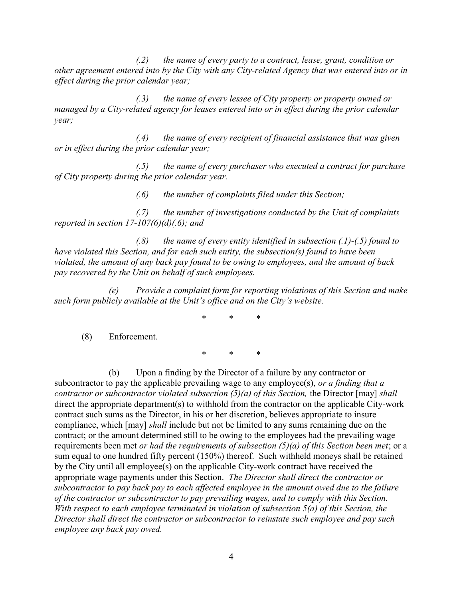$(2)$  the name of every party to a contract, lease, grant, condition or other agreement entered into by the City with any City-related Agency that was entered into or in effect during the prior calendar year;

(.3) the name of every lessee of City property or property owned or managed by a City-related agency for leases entered into or in effect during the prior calendar year;

 $(0.4)$  the name of every recipient of financial assistance that was given or in effect during the prior calendar year;

 $(0.5)$  the name of every purchaser who executed a contract for purchase of City property during the prior calendar year.

 $(0.6)$  the number of complaints filed under this Section;

(.7) the number of investigations conducted by the Unit of complaints reported in section  $17-107(6)(d)(.6)$ ; and

 $(0.8)$  the name of every entity identified in subsection  $(0.1)-(0.5)$  found to have violated this Section, and for each such entity, the subsection(s) found to have been violated, the amount of any back pay found to be owing to employees, and the amount of back pay recovered by the Unit on behalf of such employees.

(e) Provide a complaint form for reporting violations of this Section and make such form publicly available at the Unit's office and on the City's website.

\* \* \*

(8) Enforcement.

\* \* \*

(b) Upon a finding by the Director of a failure by any contractor or subcontractor to pay the applicable prevailing wage to any employee(s), or a finding that a contractor or subcontractor violated subsection  $(5)(a)$  of this Section, the Director [may] shall direct the appropriate department(s) to withhold from the contractor on the applicable City-work contract such sums as the Director, in his or her discretion, believes appropriate to insure compliance, which [may] shall include but not be limited to any sums remaining due on the contract; or the amount determined still to be owing to the employees had the prevailing wage requirements been met *or had the requirements of subsection*  $(5)(a)$  *of this Section been met*; or a sum equal to one hundred fifty percent (150%) thereof. Such withheld moneys shall be retained by the City until all employee(s) on the applicable City-work contract have received the appropriate wage payments under this Section. The Director shall direct the contractor or subcontractor to pay back pay to each affected employee in the amount owed due to the failure of the contractor or subcontractor to pay prevailing wages, and to comply with this Section. With respect to each employee terminated in violation of subsection 5(a) of this Section, the Director shall direct the contractor or subcontractor to reinstate such employee and pay such employee any back pay owed.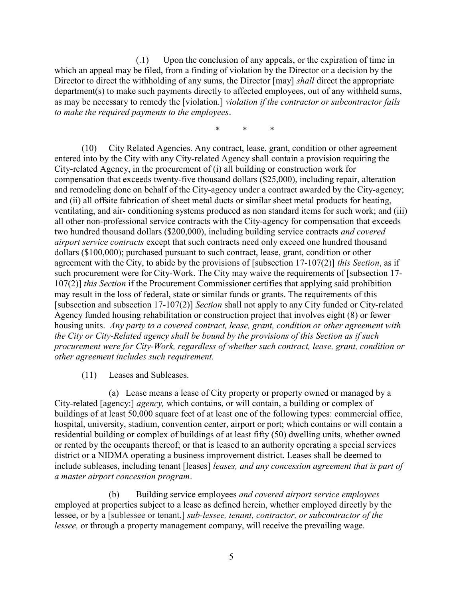(.1) Upon the conclusion of any appeals, or the expiration of time in which an appeal may be filed, from a finding of violation by the Director or a decision by the Director to direct the withholding of any sums, the Director [may] *shall* direct the appropriate department(s) to make such payments directly to affected employees, out of any withheld sums, as may be necessary to remedy the [violation.] violation if the contractor or subcontractor fails to make the required payments to the employees.

\* \* \*

(10) City Related Agencies. Any contract, lease, grant, condition or other agreement entered into by the City with any City-related Agency shall contain a provision requiring the City-related Agency, in the procurement of (i) all building or construction work for compensation that exceeds twenty-five thousand dollars (\$25,000), including repair, alteration and remodeling done on behalf of the City-agency under a contract awarded by the City-agency; and (ii) all offsite fabrication of sheet metal ducts or similar sheet metal products for heating, ventilating, and air- conditioning systems produced as non standard items for such work; and (iii) all other non-professional service contracts with the City-agency for compensation that exceeds two hundred thousand dollars (\$200,000), including building service contracts and covered airport service contracts except that such contracts need only exceed one hundred thousand dollars (\$100,000); purchased pursuant to such contract, lease, grant, condition or other agreement with the City, to abide by the provisions of [subsection 17-107(2)] this Section, as if such procurement were for City-Work. The City may waive the requirements of [subsection 17- 107(2)] this Section if the Procurement Commissioner certifies that applying said prohibition may result in the loss of federal, state or similar funds or grants. The requirements of this [subsection and subsection 17-107(2)] Section shall not apply to any City funded or City-related Agency funded housing rehabilitation or construction project that involves eight (8) or fewer housing units. Any party to a covered contract, lease, grant, condition or other agreement with the City or City-Related agency shall be bound by the provisions of this Section as if such procurement were for City-Work, regardless of whether such contract, lease, grant, condition or other agreement includes such requirement.

(11) Leases and Subleases.

(a) Lease means a lease of City property or property owned or managed by a City-related [agency:] agency, which contains, or will contain, a building or complex of buildings of at least 50,000 square feet of at least one of the following types: commercial office, hospital, university, stadium, convention center, airport or port; which contains or will contain a residential building or complex of buildings of at least fifty (50) dwelling units, whether owned or rented by the occupants thereof; or that is leased to an authority operating a special services district or a NIDMA operating a business improvement district. Leases shall be deemed to include subleases, including tenant [leases] leases, and any concession agreement that is part of a master airport concession program.

(b) Building service employees and covered airport service employees employed at properties subject to a lease as defined herein, whether employed directly by the lessee, or by a [sublessee or tenant,] sub-lessee, tenant, contractor, or subcontractor of the lessee, or through a property management company, will receive the prevailing wage.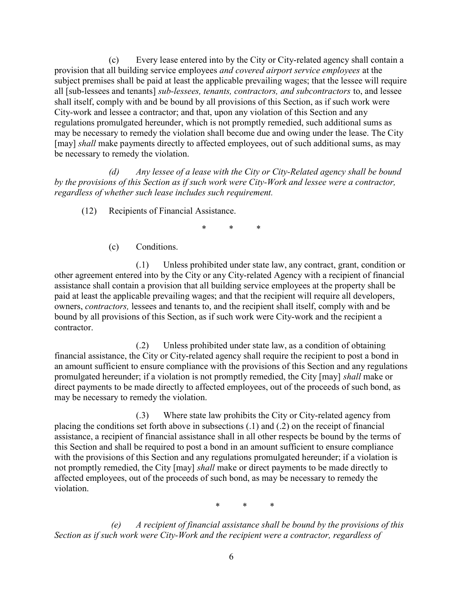(c) Every lease entered into by the City or City-related agency shall contain a provision that all building service employees and covered airport service employees at the subject premises shall be paid at least the applicable prevailing wages; that the lessee will require all [sub-lessees and tenants] sub-lessees, tenants, contractors, and subcontractors to, and lessee shall itself, comply with and be bound by all provisions of this Section, as if such work were City-work and lessee a contractor; and that, upon any violation of this Section and any regulations promulgated hereunder, which is not promptly remedied, such additional sums as may be necessary to remedy the violation shall become due and owing under the lease. The City [may] shall make payments directly to affected employees, out of such additional sums, as may be necessary to remedy the violation.

(d) Any lessee of a lease with the City or City-Related agency shall be bound by the provisions of this Section as if such work were City-Work and lessee were a contractor, regardless of whether such lease includes such requirement.

(12) Recipients of Financial Assistance.

\* \* \*

(c) Conditions.

(.1) Unless prohibited under state law, any contract, grant, condition or other agreement entered into by the City or any City-related Agency with a recipient of financial assistance shall contain a provision that all building service employees at the property shall be paid at least the applicable prevailing wages; and that the recipient will require all developers, owners, contractors, lessees and tenants to, and the recipient shall itself, comply with and be bound by all provisions of this Section, as if such work were City-work and the recipient a contractor.

(.2) Unless prohibited under state law, as a condition of obtaining financial assistance, the City or City-related agency shall require the recipient to post a bond in an amount sufficient to ensure compliance with the provisions of this Section and any regulations promulgated hereunder; if a violation is not promptly remedied, the City [may] shall make or direct payments to be made directly to affected employees, out of the proceeds of such bond, as may be necessary to remedy the violation.

(.3) Where state law prohibits the City or City-related agency from placing the conditions set forth above in subsections (.1) and (.2) on the receipt of financial assistance, a recipient of financial assistance shall in all other respects be bound by the terms of this Section and shall be required to post a bond in an amount sufficient to ensure compliance with the provisions of this Section and any regulations promulgated hereunder; if a violation is not promptly remedied, the City [may] shall make or direct payments to be made directly to affected employees, out of the proceeds of such bond, as may be necessary to remedy the violation.

\* \* \*

 (e) A recipient of financial assistance shall be bound by the provisions of this Section as if such work were City-Work and the recipient were a contractor, regardless of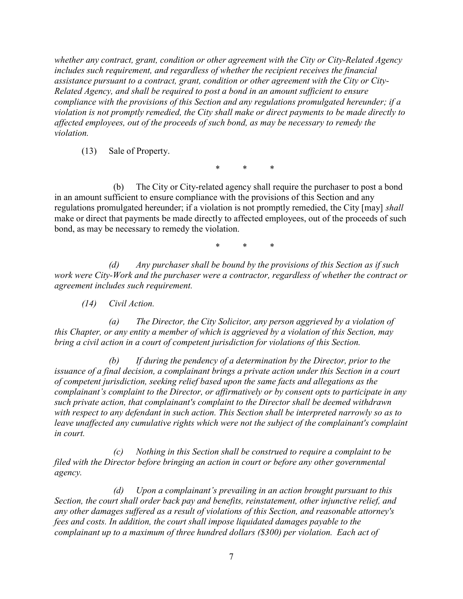whether any contract, grant, condition or other agreement with the City or City-Related Agency includes such requirement, and regardless of whether the recipient receives the financial assistance pursuant to a contract, grant, condition or other agreement with the City or City-Related Agency, and shall be required to post a bond in an amount sufficient to ensure compliance with the provisions of this Section and any regulations promulgated hereunder; if a violation is not promptly remedied, the City shall make or direct payments to be made directly to affected employees, out of the proceeds of such bond, as may be necessary to remedy the violation.

(13) Sale of Property.

\* \* \*

 (b) The City or City-related agency shall require the purchaser to post a bond in an amount sufficient to ensure compliance with the provisions of this Section and any regulations promulgated hereunder; if a violation is not promptly remedied, the City [may] shall make or direct that payments be made directly to affected employees, out of the proceeds of such bond, as may be necessary to remedy the violation.

\* \* \*

(d) Any purchaser shall be bound by the provisions of this Section as if such work were City-Work and the purchaser were a contractor, regardless of whether the contract or agreement includes such requirement.

(14) Civil Action.

(a) The Director, the City Solicitor, any person aggrieved by a violation of this Chapter, or any entity a member of which is aggrieved by a violation of this Section, may bring a civil action in a court of competent jurisdiction for violations of this Section.

(b) If during the pendency of a determination by the Director, prior to the issuance of a final decision, a complainant brings a private action under this Section in a court of competent jurisdiction, seeking relief based upon the same facts and allegations as the complainant's complaint to the Director, or affirmatively or by consent opts to participate in any such private action, that complainant's complaint to the Director shall be deemed withdrawn with respect to any defendant in such action. This Section shall be interpreted narrowly so as to leave unaffected any cumulative rights which were not the subject of the complainant's complaint in court.

 (c) Nothing in this Section shall be construed to require a complaint to be filed with the Director before bringing an action in court or before any other governmental agency.

 (d) Upon a complainant's prevailing in an action brought pursuant to this Section, the court shall order back pay and benefits, reinstatement, other injunctive relief, and any other damages suffered as a result of violations of this Section, and reasonable attorney's fees and costs. In addition, the court shall impose liquidated damages payable to the complainant up to a maximum of three hundred dollars (\$300) per violation. Each act of